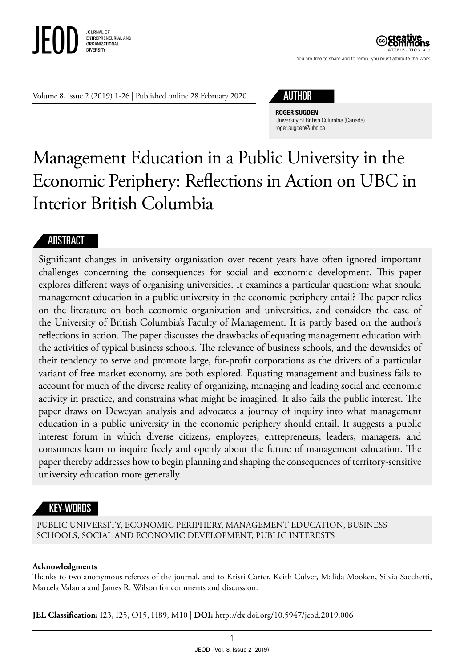

You are free to share and to remix, you must attribute the work ATTRIBUTION 3.0

Volume 8, Issue 2 (2019) 1-26 | Published online 28 February 2020



**ROGER SUGDEN** University of British Columbia (Canada) [roger.sugden@ubc.ca](mailto:roger.sugden@ubc.ca)

# Management Education in a Public University in the Economic Periphery: Reflections in Action on UBC in Interior British Columbia

## **ABSTRACT**

Significant changes in university organisation over recent years have often ignored important challenges concerning the consequences for social and economic development. This paper explores different ways of organising universities. It examines a particular question: what should management education in a public university in the economic periphery entail? The paper relies on the literature on both economic organization and universities, and considers the case of the University of British Columbia's Faculty of Management. It is partly based on the author's reflections in action. The paper discusses the drawbacks of equating management education with the activities of typical business schools. The relevance of business schools, and the downsides of their tendency to serve and promote large, for-profit corporations as the drivers of a particular variant of free market economy, are both explored. Equating management and business fails to account for much of the diverse reality of organizing, managing and leading social and economic activity in practice, and constrains what might be imagined. It also fails the public interest. The paper draws on Deweyan analysis and advocates a journey of inquiry into what management education in a public university in the economic periphery should entail. It suggests a public interest forum in which diverse citizens, employees, entrepreneurs, leaders, managers, and consumers learn to inquire freely and openly about the future of management education. The paper thereby addresses how to begin planning and shaping the consequences of territory-sensitive university education more generally.

## KEY-WORDS

PUBLIC UNIVERSITY, ECONOMIC PERIPHERY, MANAGEMENT EDUCATION, BUSINESS SCHOOLS, SOCIAL AND ECONOMIC DEVELOPMENT, PUBLIC INTERESTS

#### **Acknowledgments**

Thanks to two anonymous referees of the journal, and to Kristi Carter, Keith Culver, Malida Mooken, Silvia Sacchetti, Marcela Valania and James R. Wilson for comments and discussion.

**JEL Classification:** I23, I25, O15, H89, M10 | **DOI:** http: / /dx.doi.org/10.5947/jeod.2019.006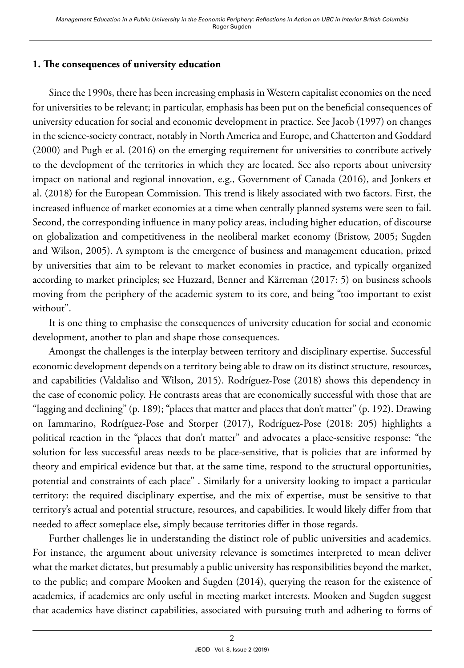## **1. The consequences of university education**

Since the 1990s, there has been increasing emphasis in Western capitalist economies on the need for universities to be relevant; in particular, emphasis has been put on the beneficial consequences of university education for social and economic development in practice. See Jacob (1997) on changes in the science-society contract, notably in North America and Europe, and Chatterton and Goddard (2000) and Pugh et al. (2016) on the emerging requirement for universities to contribute actively to the development of the territories in which they are located. See also reports about university impact on national and regional innovation, e.g., Government of Canada (2016), and Jonkers et al. (2018) for the European Commission. This trend is likely associated with two factors. First, the increased influence of market economies at a time when centrally planned systems were seen to fail. Second, the corresponding influence in many policy areas, including higher education, of discourse on globalization and competitiveness in the neoliberal market economy (Bristow, 2005; Sugden and Wilson, 2005). A symptom is the emergence of business and management education, prized by universities that aim to be relevant to market economies in practice, and typically organized according to market principles; see Huzzard, Benner and Kärreman (2017: 5) on business schools moving from the periphery of the academic system to its core, and being "too important to exist without".

It is one thing to emphasise the consequences of university education for social and economic development, another to plan and shape those consequences.

Amongst the challenges is the interplay between territory and disciplinary expertise. Successful economic development depends on a territory being able to draw on its distinct structure, resources, and capabilities (Valdaliso and Wilson, 2015). Rodríguez-Pose (2018) shows this dependency in the case of economic policy. He contrasts areas that are economically successful with those that are "lagging and declining" (p. 189); "places that matter and places that don't matter" (p. 192). Drawing on Iammarino, Rodríguez-Pose and Storper (2017), Rodríguez-Pose (2018: 205) highlights a political reaction in the "places that don't matter" and advocates a place-sensitive response: "the solution for less successful areas needs to be place-sensitive, that is policies that are informed by theory and empirical evidence but that, at the same time, respond to the structural opportunities, potential and constraints of each place" . Similarly for a university looking to impact a particular territory: the required disciplinary expertise, and the mix of expertise, must be sensitive to that territory's actual and potential structure, resources, and capabilities. It would likely differ from that needed to affect someplace else, simply because territories differ in those regards.

Further challenges lie in understanding the distinct role of public universities and academics. For instance, the argument about university relevance is sometimes interpreted to mean deliver what the market dictates, but presumably a public university has responsibilities beyond the market, to the public; and compare Mooken and Sugden (2014), querying the reason for the existence of academics, if academics are only useful in meeting market interests. Mooken and Sugden suggest that academics have distinct capabilities, associated with pursuing truth and adhering to forms of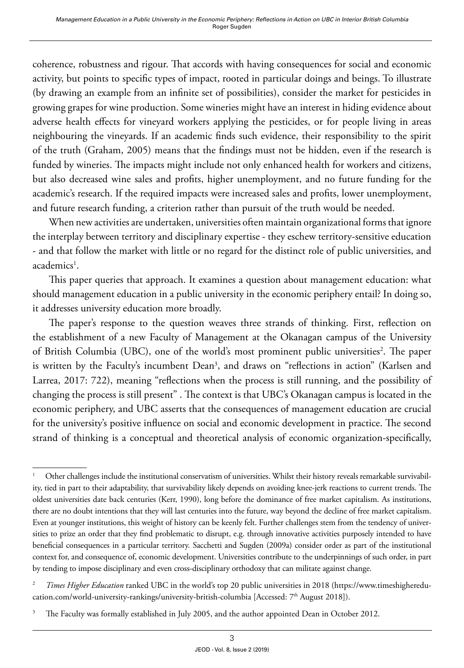coherence, robustness and rigour. That accords with having consequences for social and economic activity, but points to specific types of impact, rooted in particular doings and beings. To illustrate (by drawing an example from an infinite set of possibilities), consider the market for pesticides in growing grapes for wine production. Some wineries might have an interest in hiding evidence about adverse health effects for vineyard workers applying the pesticides, or for people living in areas neighbouring the vineyards. If an academic finds such evidence, their responsibility to the spirit of the truth (Graham, 2005) means that the findings must not be hidden, even if the research is funded by wineries. The impacts might include not only enhanced health for workers and citizens, but also decreased wine sales and profits, higher unemployment, and no future funding for the academic's research. If the required impacts were increased sales and profits, lower unemployment, and future research funding, a criterion rather than pursuit of the truth would be needed.

When new activities are undertaken, universities often maintain organizational forms that ignore the interplay between territory and disciplinary expertise - they eschew territory-sensitive education - and that follow the market with little or no regard for the distinct role of public universities, and academics<sup>1</sup>.

This paper queries that approach. It examines a question about management education: what should management education in a public university in the economic periphery entail? In doing so, it addresses university education more broadly.

The paper's response to the question weaves three strands of thinking. First, reflection on the establishment of a new Faculty of Management at the Okanagan campus of the University of British Columbia (UBC), one of the world's most prominent public universities<sup>2</sup>. The paper is written by the Faculty's incumbent Dean<sup>3</sup>, and draws on "reflections in action" (Karlsen and Larrea, 2017: 722), meaning "reflections when the process is still running, and the possibility of changing the process is still present" . The context is that UBC's Okanagan campus is located in the economic periphery, and UBC asserts that the consequences of management education are crucial for the university's positive influence on social and economic development in practice. The second strand of thinking is a conceptual and theoretical analysis of economic organization-specifically,

<sup>&</sup>lt;sup>1</sup> Other challenges include the institutional conservatism of universities. Whilst their history reveals remarkable survivability, tied in part to their adaptability, that survivability likely depends on avoiding knee-jerk reactions to current trends. The oldest universities date back centuries (Kerr, 1990), long before the dominance of free market capitalism. As institutions, there are no doubt intentions that they will last centuries into the future, way beyond the decline of free market capitalism. Even at younger institutions, this weight of history can be keenly felt. Further challenges stem from the tendency of universities to prize an order that they find problematic to disrupt, e.g. through innovative activities purposely intended to have beneficial consequences in a particular territory. Sacchetti and Sugden (2009a) consider order as part of the institutional context for, and consequence of, economic development. Universities contribute to the underpinnings of such order, in part by tending to impose disciplinary and even cross-disciplinary orthodoxy that can militate against change.

<sup>2</sup> *Times Higher Education* ranked UBC in the world's top 20 public universities in 2018 [\(https://www.timeshigheredu](https://www.timeshighereducation.com/world-university-rankings/university-british-columbia)[cation.com/world-university-rankings/university-british-columbia](https://www.timeshighereducation.com/world-university-rankings/university-british-columbia) [Accessed: 7<sup>th</sup> August 2018]).

<sup>&</sup>lt;sup>3</sup> The Faculty was formally established in July 2005, and the author appointed Dean in October 2012.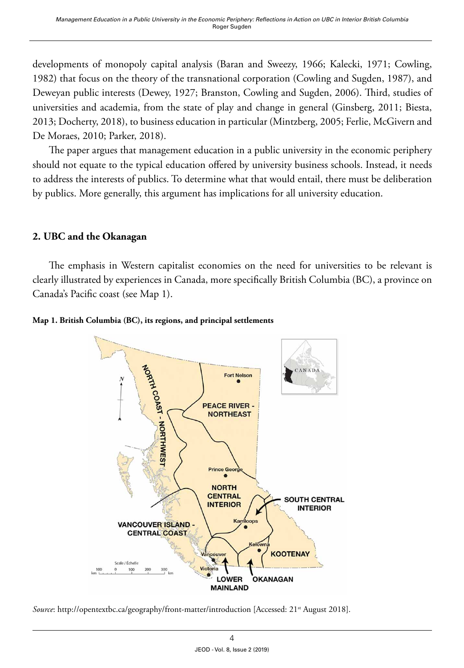developments of monopoly capital analysis (Baran and Sweezy, 1966; Kalecki, 1971; Cowling, 1982) that focus on the theory of the transnational corporation (Cowling and Sugden, 1987), and Deweyan public interests (Dewey, 1927; Branston, Cowling and Sugden, 2006). Third, studies of universities and academia, from the state of play and change in general (Ginsberg, 2011; Biesta, 2013; Docherty, 2018), to business education in particular (Mintzberg, 2005; Ferlie, McGivern and De Moraes, 2010; Parker, 2018).

The paper argues that management education in a public university in the economic periphery should not equate to the typical education offered by university business schools. Instead, it needs to address the interests of publics. To determine what that would entail, there must be deliberation by publics. More generally, this argument has implications for all university education.

## **2. UBC and the Okanagan**

The emphasis in Western capitalist economies on the need for universities to be relevant is clearly illustrated by experiences in Canada, more specifically British Columbia (BC), a province on Canada's Pacific coast (see Map 1).





*Source*: http://opentextbc.ca/geography/front-matter/introduction [Accessed: 21<sup>st</sup> August 2018].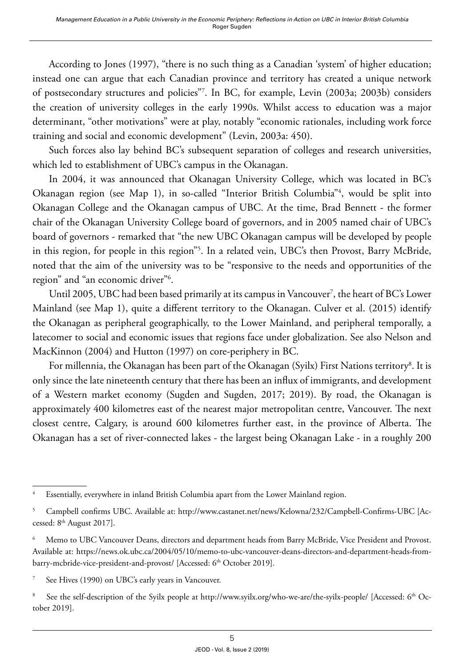According to Jones (1997), "there is no such thing as a Canadian 'system' of higher education; instead one can argue that each Canadian province and territory has created a unique network of postsecondary structures and policies"7 . In BC, for example, Levin (2003a; 2003b) considers the creation of university colleges in the early 1990s. Whilst access to education was a major determinant, "other motivations" were at play, notably "economic rationales, including work force training and social and economic development" (Levin, 2003a: 450).

Such forces also lay behind BC's subsequent separation of colleges and research universities, which led to establishment of UBC's campus in the Okanagan.

In 2004, it was announced that Okanagan University College, which was located in BC's Okanagan region (see Map 1), in so-called "Interior British Columbia"4 , would be split into Okanagan College and the Okanagan campus of UBC. At the time, Brad Bennett - the former chair of the Okanagan University College board of governors, and in 2005 named chair of UBC's board of governors - remarked that "the new UBC Okanagan campus will be developed by people in this region, for people in this region"5 . In a related vein, UBC's then Provost, Barry McBride, noted that the aim of the university was to be "responsive to the needs and opportunities of the region" and "an economic driver"6 .

Until 2005, UBC had been based primarily at its campus in Vancouver<sup>7</sup>, the heart of BC's Lower Mainland (see Map 1), quite a different territory to the Okanagan. Culver et al. (2015) identify the Okanagan as peripheral geographically, to the Lower Mainland, and peripheral temporally, a latecomer to social and economic issues that regions face under globalization. See also Nelson and MacKinnon (2004) and Hutton (1997) on core-periphery in BC.

For millennia, the Okanagan has been part of the Okanagan (Syilx) First Nations territory $^{\rm 8}.$  It is only since the late nineteenth century that there has been an influx of immigrants, and development of a Western market economy (Sugden and Sugden, 2017; 2019). By road, the Okanagan is approximately 400 kilometres east of the nearest major metropolitan centre, Vancouver. The next closest centre, Calgary, is around 600 kilometres further east, in the province of Alberta. The Okanagan has a set of river-connected lakes - the largest being Okanagan Lake - in a roughly 200

See Hives (1990) on UBC's early years in Vancouver.

<sup>8</sup> See the self-description of the Syilx people at <http://www.syilx.org/who-we-are/the-syilx-people/>[Accessed: 6<sup>th</sup> October 2019].

<sup>4</sup> Essentially, everywhere in inland British Columbia apart from the Lower Mainland region.

<sup>5</sup> Campbell confirms UBC. Available at: http://www.castanet.net/news/Kelowna/232/Campbell-Confirms-UBC [Accessed: 8<sup>th</sup> August 2017].

Memo to UBC Vancouver Deans, directors and department heads from Barry McBride, Vice President and Provost. Available at: https://news.ok.ubc.ca/2004/05/10/memo-to-ubc-vancouver-deans-directors-and-department-heads-frombarry-mcbride-vice-president-and-provost/ [Accessed: 6<sup>th</sup> October 2019].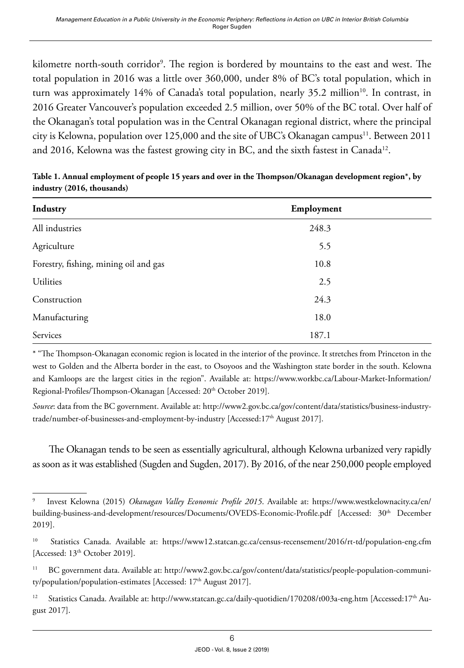kilometre north-south corridor<sup>9</sup>. The region is bordered by mountains to the east and west. The total population in 2016 was a little over 360,000, under 8% of BC's total population, which in turn was approximately 14% of Canada's total population, nearly 35.2 million<sup>10</sup>. In contrast, in 2016 Greater Vancouver's population exceeded 2.5 million, over 50% of the BC total. Over half of the Okanagan's total population was in the Central Okanagan regional district, where the principal city is Kelowna, population over 125,000 and the site of UBC's Okanagan campus<sup>11</sup>. Between 2011 and 2016, Kelowna was the fastest growing city in BC, and the sixth fastest in Canada<sup>12</sup>.

| Industry                              | Employment |  |
|---------------------------------------|------------|--|
| All industries                        | 248.3      |  |
| Agriculture                           | 5.5        |  |
| Forestry, fishing, mining oil and gas | 10.8       |  |
| Utilities                             | 2.5        |  |
| Construction                          | 24.3       |  |
| Manufacturing                         | 18.0       |  |
| Services                              | 187.1      |  |

**Table 1. Annual employment of people 15 years and over in the Thompson/Okanagan development region\*, by industry (2016, thousands)**

\* "The Thompson-Okanagan economic region is located in the interior of the province. It stretches from Princeton in the west to Golden and the Alberta border in the east, to Osoyoos and the Washington state border in the south. Kelowna and Kamloops are the largest cities in the region". Available at: [https://www.workbc.ca/Labour-Market-Information/](https://www.workbc.ca/Labour-Market-Information/Regional-Profiles/Thompson-Okanagan) [Regional-Profiles/Thompson-Okanagan](https://www.workbc.ca/Labour-Market-Information/Regional-Profiles/Thompson-Okanagan) [Accessed: 20th October 2019].

*Source*: data from the BC government. Available at: http://www2.gov.bc.ca/gov/content/data/statistics/business-industrytrade/number-of-businesses-and-employment-by-industry [Accessed:17<sup>th</sup> August 2017].

The Okanagan tends to be seen as essentially agricultural, although Kelowna urbanized very rapidly as soon as it was established (Sugden and Sugden, 2017). By 2016, of the near 250,000 people employed

<sup>9</sup> Invest Kelowna (2015) *Okanagan Valley Economic Profile 2015*. Available at: [https://www.westkelownacity.ca/en/](https://www.westkelownacity.ca/en/building-business-and-development/resources/Documents/OVEDS-Economic-Profile.pdf) [building-business-and-development/resources/Documents/OVEDS-Economic-Profile.pdf](https://www.westkelownacity.ca/en/building-business-and-development/resources/Documents/OVEDS-Economic-Profile.pdf) [Accessed: 30<sup>th</sup> December 2019].

<sup>&</sup>lt;sup>10</sup> Statistics Canada. Available at: https://www12.statcan.gc.ca/census-recensement/2016/rt-td/population-eng.cfm [Accessed: 13<sup>th</sup> October 2019].

<sup>11</sup> BC government data. Available at: [http://www2.gov.bc.ca/gov/content/data/statistics/people-population-communi](http://www2.gov.bc.ca/gov/content/data/statistics/people-population-community/population/population-estimates)[ty/population/population-estimates](http://www2.gov.bc.ca/gov/content/data/statistics/people-population-community/population/population-estimates) [Accessed: 17<sup>th</sup> August 2017].

<sup>&</sup>lt;sup>12</sup> Statistics Canada. Available at: http://www.statcan.gc.ca/daily-quotidien/170208/t003a-eng.htm [Accessed:17<sup>th</sup> August 2017].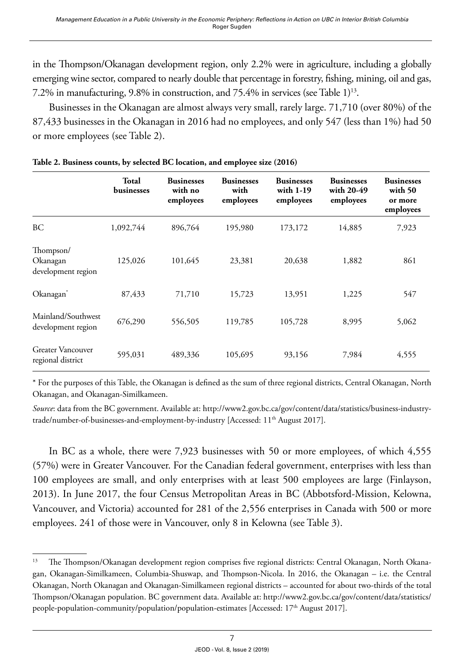in the Thompson/Okanagan development region, only 2.2% were in agriculture, including a globally emerging wine sector, compared to nearly double that percentage in forestry, fishing, mining, oil and gas, 7.2% in manufacturing, 9.8% in construction, and 75.4% in services (see Table 1)<sup>13</sup>.

Businesses in the Okanagan are almost always very small, rarely large. 71,710 (over 80%) of the 87,433 businesses in the Okanagan in 2016 had no employees, and only 547 (less than 1%) had 50 or more employees (see Table 2).

|                                               | Total<br>businesses | <b>Businesses</b><br>with no<br>employees | <b>Businesses</b><br>with<br>employees | <b>Businesses</b><br>with 1-19<br>employees | <b>Businesses</b><br>with 20-49<br>employees | <b>Businesses</b><br>with 50<br>or more<br>employees |
|-----------------------------------------------|---------------------|-------------------------------------------|----------------------------------------|---------------------------------------------|----------------------------------------------|------------------------------------------------------|
| BC                                            | 1,092,744           | 896,764                                   | 195,980                                | 173,172                                     | 14,885                                       | 7,923                                                |
| Thompson/<br>Okanagan<br>development region   | 125,026             | 101,645                                   | 23,381                                 | 20,638                                      | 1,882                                        | 861                                                  |
| Okanagan <sup>*</sup>                         | 87,433              | 71,710                                    | 15,723                                 | 13,951                                      | 1,225                                        | 547                                                  |
| Mainland/Southwest<br>development region      | 676,290             | 556,505                                   | 119,785                                | 105,728                                     | 8,995                                        | 5,062                                                |
| <b>Greater Vancouver</b><br>regional district | 595,031             | 489,336                                   | 105,695                                | 93,156                                      | 7,984                                        | 4,555                                                |

\* For the purposes of this Table, the Okanagan is defined as the sum of three regional districts, Central Okanagan, North Okanagan, and Okanagan-Similkameen.

*Source*: data from the BC government. Available at: http://www2.gov.bc.ca/gov/content/data/statistics/business-industrytrade/number-of-businesses-and-employment-by-industry [Accessed: 11<sup>th</sup> August 2017].

In BC as a whole, there were 7,923 businesses with 50 or more employees, of which 4,555 (57%) were in Greater Vancouver. For the Canadian federal government, enterprises with less than 100 employees are small, and only enterprises with at least 500 employees are large (Finlayson, 2013). In June 2017, the four Census Metropolitan Areas in BC (Abbotsford-Mission, Kelowna, Vancouver, and Victoria) accounted for 281 of the 2,556 enterprises in Canada with 500 or more employees. 241 of those were in Vancouver, only 8 in Kelowna (see Table 3).

<sup>&</sup>lt;sup>13</sup> The Thompson/Okanagan development region comprises five regional districts: Central Okanagan, North Okanagan, Okanagan-Similkameen, Columbia-Shuswap, and Thompson-Nicola. In 2016, the Okanagan – i.e. the Central Okanagan, North Okanagan and Okanagan-Similkameen regional districts – accounted for about two-thirds of the total Thompson/Okanagan population. BC government data. Available at: http://www2.gov.bc.ca/gov/content/data/statistics/ people-population-community/population/population-estimates [Accessed: 17<sup>th</sup> August 2017].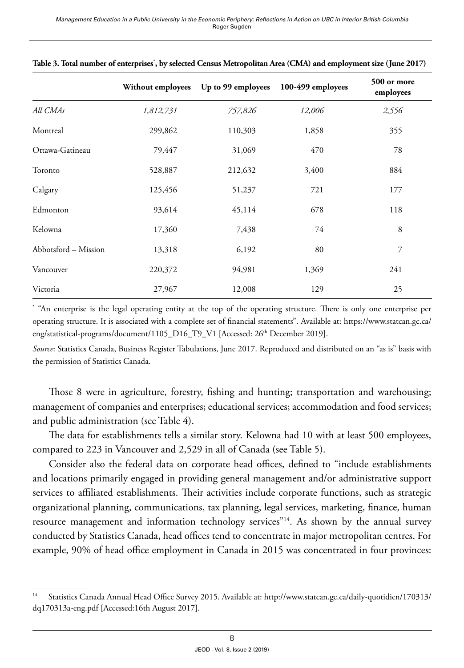|                      | Without employees | Up to 99 employees | 100-499 employees | 500 or more<br>employees |
|----------------------|-------------------|--------------------|-------------------|--------------------------|
| All CMAs             | 1,812,731         | 757,826            | 12,006            | 2,556                    |
| Montreal             | 299,862           | 110,303            | 1,858             | 355                      |
| Ottawa-Gatineau      | 79,447            | 31,069             | 470               | 78                       |
| Toronto              | 528,887           | 212,632            | 3,400             | 884                      |
| Calgary              | 125,456           | 51,237             | 721               | 177                      |
| Edmonton             | 93,614            | 45,114             | 678               | 118                      |
| Kelowna              | 17,360            | 7,438              | 74                | 8                        |
| Abbotsford - Mission | 13,318            | 6,192              | 80                | 7                        |
| Vancouver            | 220,372           | 94,981             | 1,369             | 241                      |
| Victoria             | 27,967            | 12,008             | 129               | 25                       |

| Table 3. Total number of enterprises', by selected Census Metropolitan Area (CMA) and employment size (June 2017) |  |  |  |  |
|-------------------------------------------------------------------------------------------------------------------|--|--|--|--|
|-------------------------------------------------------------------------------------------------------------------|--|--|--|--|

\* "An enterprise is the legal operating entity at the top of the operating structure. There is only one enterprise per operating structure. It is associated with a complete set of financial statements". Available at: [https://www.statcan.gc.ca/](https://www.statcan.gc.ca/eng/statistical-programs/document/1105_D16_T9_V1) [eng/statistical-programs/document/1105\\_D16\\_T9\\_V1](https://www.statcan.gc.ca/eng/statistical-programs/document/1105_D16_T9_V1) [Accessed: 26<sup>th</sup> December 2019].

*Source*: Statistics Canada, Business Register Tabulations, June 2017. Reproduced and distributed on an "as is" basis with the permission of Statistics Canada.

Those 8 were in agriculture, forestry, fishing and hunting; transportation and warehousing; management of companies and enterprises; educational services; accommodation and food services; and public administration (see Table 4).

The data for establishments tells a similar story. Kelowna had 10 with at least 500 employees, compared to 223 in Vancouver and 2,529 in all of Canada (see Table 5).

Consider also the federal data on corporate head offices, defined to "include establishments and locations primarily engaged in providing general management and/or administrative support services to affiliated establishments. Their activities include corporate functions, such as strategic organizational planning, communications, tax planning, legal services, marketing, finance, human resource management and information technology services"<sup>14</sup>. As shown by the annual survey conducted by Statistics Canada, head offices tend to concentrate in major metropolitan centres. For example, 90% of head office employment in Canada in 2015 was concentrated in four provinces:

<sup>14</sup> Statistics Canada Annual Head Office Survey 2015. Available at: [http://www.statcan.gc.ca/daily-quotidien/170313/](http://www.statcan.gc.ca/daily-quotidien/170313/dq170313a-eng.pdf) [dq170313a-eng.pdf](http://www.statcan.gc.ca/daily-quotidien/170313/dq170313a-eng.pdf) [Accessed:16th August 2017].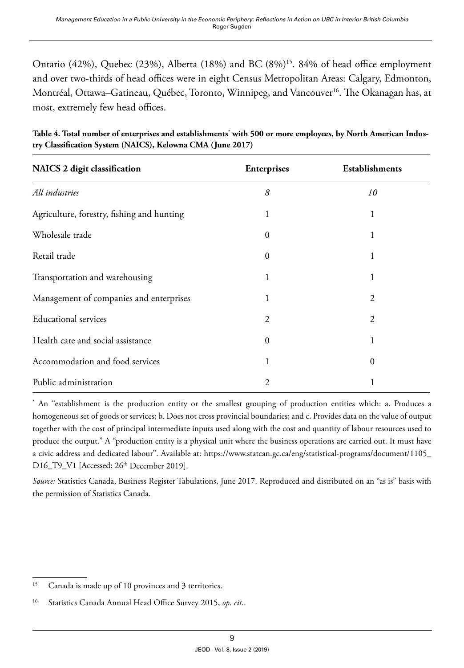Ontario (42%), Quebec (23%), Alberta (18%) and BC (8%)<sup>15</sup>. 84% of head office employment and over two-thirds of head offices were in eight Census Metropolitan Areas: Calgary, Edmonton, Montréal, Ottawa–Gatineau, Québec, Toronto, Winnipeg, and Vancouver<sup>16</sup>. The Okanagan has, at most, extremely few head offices.

| NAICS 2 digit classification               | <b>Enterprises</b> | <b>Establishments</b> |
|--------------------------------------------|--------------------|-----------------------|
| All industries                             | 8                  | 10                    |
| Agriculture, forestry, fishing and hunting |                    | 1                     |
| Wholesale trade                            | $\theta$           | 1                     |
| Retail trade                               | 0                  |                       |
| Transportation and warehousing             | 1                  | 1                     |
| Management of companies and enterprises    |                    | 2                     |
| <b>Educational services</b>                | 2                  | 2                     |
| Health care and social assistance          | $\Omega$           | 1                     |
| Accommodation and food services            | 1                  | 0                     |
| Public administration                      | 2                  |                       |

Table 4. Total number of enterprises and establishments<sup>\*</sup> with 500 or more employees, by North American Indus**try Classification System (NAICS), Kelowna CMA (June 2017)**

\* An "establishment is the production entity or the smallest grouping of production entities which: a. Produces a homogeneous set of goods or services; b. Does not cross provincial boundaries; and c. Provides data on the value of output together with the cost of principal intermediate inputs used along with the cost and quantity of labour resources used to produce the output." A "production entity is a physical unit where the business operations are carried out. It must have a civic address and dedicated labour". Available at: [https://www.statcan.gc.ca/eng/statistical-programs/document/1105\\_](https://www.statcan.gc.ca/eng/statistical-programs/document/1105_D16_T9_V1) [D16\\_T9\\_V1](https://www.statcan.gc.ca/eng/statistical-programs/document/1105_D16_T9_V1) [Accessed: 26<sup>th</sup> December 2019].

*Source:* Statistics Canada, Business Register Tabulations, June 2017. Reproduced and distributed on an "as is" basis with the permission of Statistics Canada.

<sup>15</sup> Canada is made up of 10 provinces and 3 territories.

<sup>16</sup> Statistics Canada Annual Head Office Survey 2015, *op*. *cit*..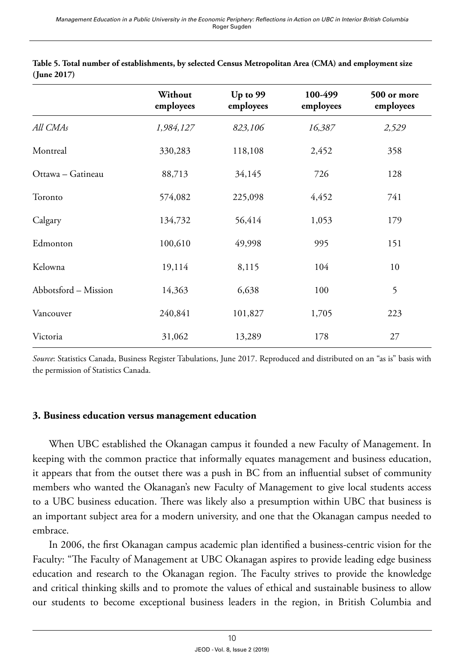|                      | Without<br>employees | Up to 99<br>employees | 100-499<br>employees | 500 or more<br>employees |
|----------------------|----------------------|-----------------------|----------------------|--------------------------|
| All CMAs             | 1,984,127            | 823,106               | 16,387               | 2,529                    |
| Montreal             | 330,283              | 118,108               | 2,452                | 358                      |
| Ottawa – Gatineau    | 88,713               | 34,145                | 726                  | 128                      |
| Toronto              | 574,082              | 225,098               | 4,452                | 741                      |
| Calgary              | 134,732              | 56,414                | 1,053                | 179                      |
| Edmonton             | 100,610              | 49,998                | 995                  | 151                      |
| Kelowna              | 19,114               | 8,115                 | 104                  | 10                       |
| Abbotsford - Mission | 14,363               | 6,638                 | 100                  | 5                        |
| Vancouver            | 240,841              | 101,827               | 1,705                | 223                      |
| Victoria             | 31,062               | 13,289                | 178                  | 27                       |

| Table 5. Total number of establishments, by selected Census Metropolitan Area (CMA) and employment size |  |
|---------------------------------------------------------------------------------------------------------|--|
| (June 2017)                                                                                             |  |

*Source*: Statistics Canada, Business Register Tabulations, June 2017. Reproduced and distributed on an "as is" basis with the permission of Statistics Canada.

### **3. Business education versus management education**

When UBC established the Okanagan campus it founded a new Faculty of Management. In keeping with the common practice that informally equates management and business education, it appears that from the outset there was a push in BC from an influential subset of community members who wanted the Okanagan's new Faculty of Management to give local students access to a UBC business education. There was likely also a presumption within UBC that business is an important subject area for a modern university, and one that the Okanagan campus needed to embrace.

In 2006, the first Okanagan campus academic plan identified a business-centric vision for the Faculty: "The Faculty of Management at UBC Okanagan aspires to provide leading edge business education and research to the Okanagan region. The Faculty strives to provide the knowledge and critical thinking skills and to promote the values of ethical and sustainable business to allow our students to become exceptional business leaders in the region, in British Columbia and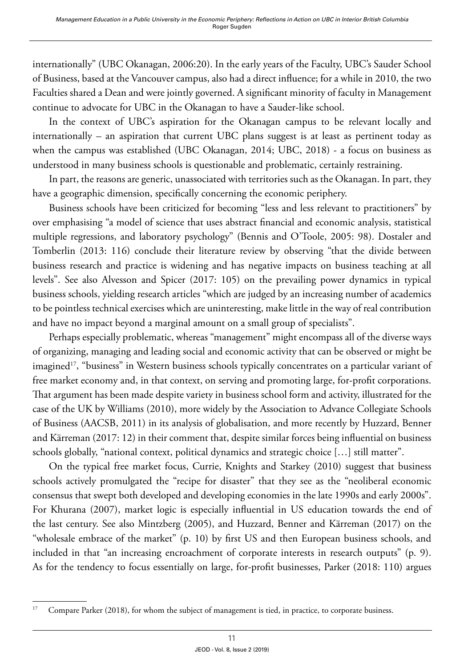internationally" (UBC Okanagan, 2006:20). In the early years of the Faculty, UBC's Sauder School of Business, based at the Vancouver campus, also had a direct influence; for a while in 2010, the two Faculties shared a Dean and were jointly governed. A significant minority of faculty in Management continue to advocate for UBC in the Okanagan to have a Sauder-like school.

In the context of UBC's aspiration for the Okanagan campus to be relevant locally and internationally – an aspiration that current UBC plans suggest is at least as pertinent today as when the campus was established (UBC Okanagan, 2014; UBC, 2018) - a focus on business as understood in many business schools is questionable and problematic, certainly restraining.

In part, the reasons are generic, unassociated with territories such as the Okanagan. In part, they have a geographic dimension, specifically concerning the economic periphery.

Business schools have been criticized for becoming "less and less relevant to practitioners" by over emphasising "a model of science that uses abstract financial and economic analysis, statistical multiple regressions, and laboratory psychology" (Bennis and O'Toole, 2005: 98). Dostaler and Tomberlin (2013: 116) conclude their literature review by observing "that the divide between business research and practice is widening and has negative impacts on business teaching at all levels". See also Alvesson and Spicer (2017: 105) on the prevailing power dynamics in typical business schools, yielding research articles "which are judged by an increasing number of academics to be pointless technical exercises which are uninteresting, make little in the way of real contribution and have no impact beyond a marginal amount on a small group of specialists".

Perhaps especially problematic, whereas "management" might encompass all of the diverse ways of organizing, managing and leading social and economic activity that can be observed or might be imagined<sup>17</sup>, "business" in Western business schools typically concentrates on a particular variant of free market economy and, in that context, on serving and promoting large, for-profit corporations. That argument has been made despite variety in business school form and activity, illustrated for the case of the UK by Williams (2010), more widely by the Association to Advance Collegiate Schools of Business (AACSB, 2011) in its analysis of globalisation, and more recently by Huzzard, Benner and Kärreman (2017: 12) in their comment that, despite similar forces being influential on business schools globally, "national context, political dynamics and strategic choice […] still matter".

On the typical free market focus, Currie, Knights and Starkey (2010) suggest that business schools actively promulgated the "recipe for disaster" that they see as the "neoliberal economic consensus that swept both developed and developing economies in the late 1990s and early 2000s". For Khurana (2007), market logic is especially influential in US education towards the end of the last century. See also Mintzberg (2005), and Huzzard, Benner and Kärreman (2017) on the "wholesale embrace of the market" (p. 10) by first US and then European business schools, and included in that "an increasing encroachment of corporate interests in research outputs" (p. 9). As for the tendency to focus essentially on large, for-profit businesses, Parker (2018: 110) argues

<sup>&</sup>lt;sup>17</sup> Compare Parker (2018), for whom the subject of management is tied, in practice, to corporate business.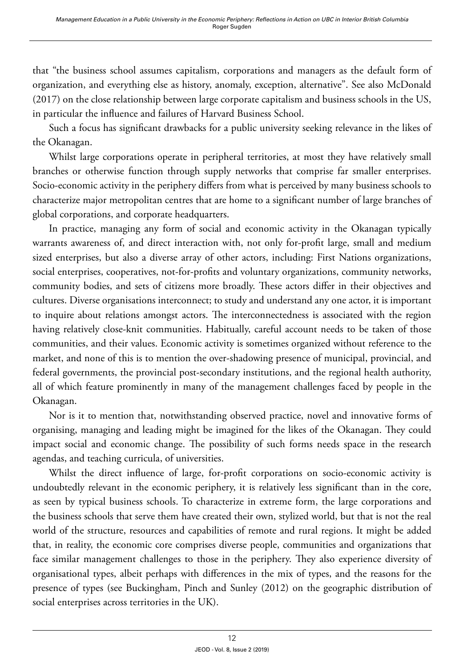that "the business school assumes capitalism, corporations and managers as the default form of organization, and everything else as history, anomaly, exception, alternative". See also McDonald (2017) on the close relationship between large corporate capitalism and business schools in the US, in particular the influence and failures of Harvard Business School.

Such a focus has significant drawbacks for a public university seeking relevance in the likes of the Okanagan.

Whilst large corporations operate in peripheral territories, at most they have relatively small branches or otherwise function through supply networks that comprise far smaller enterprises. Socio-economic activity in the periphery differs from what is perceived by many business schools to characterize major metropolitan centres that are home to a significant number of large branches of global corporations, and corporate headquarters.

In practice, managing any form of social and economic activity in the Okanagan typically warrants awareness of, and direct interaction with, not only for-profit large, small and medium sized enterprises, but also a diverse array of other actors, including: First Nations organizations, social enterprises, cooperatives, not-for-profits and voluntary organizations, community networks, community bodies, and sets of citizens more broadly. These actors differ in their objectives and cultures. Diverse organisations interconnect; to study and understand any one actor, it is important to inquire about relations amongst actors. The interconnectedness is associated with the region having relatively close-knit communities. Habitually, careful account needs to be taken of those communities, and their values. Economic activity is sometimes organized without reference to the market, and none of this is to mention the over-shadowing presence of municipal, provincial, and federal governments, the provincial post-secondary institutions, and the regional health authority, all of which feature prominently in many of the management challenges faced by people in the Okanagan.

Nor is it to mention that, notwithstanding observed practice, novel and innovative forms of organising, managing and leading might be imagined for the likes of the Okanagan. They could impact social and economic change. The possibility of such forms needs space in the research agendas, and teaching curricula, of universities.

Whilst the direct influence of large, for-profit corporations on socio-economic activity is undoubtedly relevant in the economic periphery, it is relatively less significant than in the core, as seen by typical business schools. To characterize in extreme form, the large corporations and the business schools that serve them have created their own, stylized world, but that is not the real world of the structure, resources and capabilities of remote and rural regions. It might be added that, in reality, the economic core comprises diverse people, communities and organizations that face similar management challenges to those in the periphery. They also experience diversity of organisational types, albeit perhaps with differences in the mix of types, and the reasons for the presence of types (see Buckingham, Pinch and Sunley (2012) on the geographic distribution of social enterprises across territories in the UK).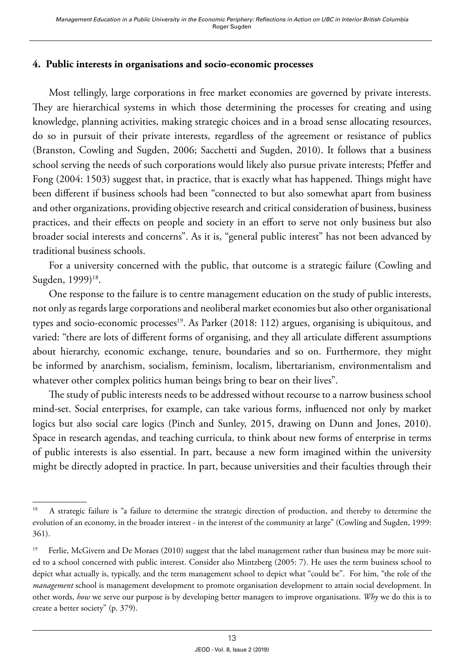## **4. Public interests in organisations and socio-economic processes**

Most tellingly, large corporations in free market economies are governed by private interests. They are hierarchical systems in which those determining the processes for creating and using knowledge, planning activities, making strategic choices and in a broad sense allocating resources, do so in pursuit of their private interests, regardless of the agreement or resistance of publics (Branston, Cowling and Sugden, 2006; Sacchetti and Sugden, 2010). It follows that a business school serving the needs of such corporations would likely also pursue private interests; Pfeffer and Fong (2004: 1503) suggest that, in practice, that is exactly what has happened. Things might have been different if business schools had been "connected to but also somewhat apart from business and other organizations, providing objective research and critical consideration of business, business practices, and their effects on people and society in an effort to serve not only business but also broader social interests and concerns". As it is, "general public interest" has not been advanced by traditional business schools.

For a university concerned with the public, that outcome is a strategic failure (Cowling and Sugden, 1999)<sup>18</sup>.

One response to the failure is to centre management education on the study of public interests, not only as regards large corporations and neoliberal market economies but also other organisational types and socio-economic processes<sup>19</sup>. As Parker  $(2018: 112)$  argues, organising is ubiquitous, and varied: "there are lots of different forms of organising, and they all articulate different assumptions about hierarchy, economic exchange, tenure, boundaries and so on. Furthermore, they might be informed by anarchism, socialism, feminism, localism, libertarianism, environmentalism and whatever other complex politics human beings bring to bear on their lives".

The study of public interests needs to be addressed without recourse to a narrow business school mind-set. Social enterprises, for example, can take various forms, influenced not only by market logics but also social care logics (Pinch and Sunley, 2015, drawing on Dunn and Jones, 2010). Space in research agendas, and teaching curricula, to think about new forms of enterprise in terms of public interests is also essential. In part, because a new form imagined within the university might be directly adopted in practice. In part, because universities and their faculties through their

<sup>&</sup>lt;sup>18</sup> A strategic failure is "a failure to determine the strategic direction of production, and thereby to determine the evolution of an economy, in the broader interest - in the interest of the community at large" (Cowling and Sugden, 1999: 361).

<sup>&</sup>lt;sup>19</sup> Ferlie, McGivern and De Moraes (2010) suggest that the label management rather than business may be more suited to a school concerned with public interest. Consider also Mintzberg (2005: 7). He uses the term business school to depict what actually is, typically, and the term management school to depict what "could be". For him, "the role of the *management* school is management development to promote organisation development to attain social development. In other words, *how* we serve our purpose is by developing better managers to improve organisations. *Why* we do this is to create a better society" (p. 379).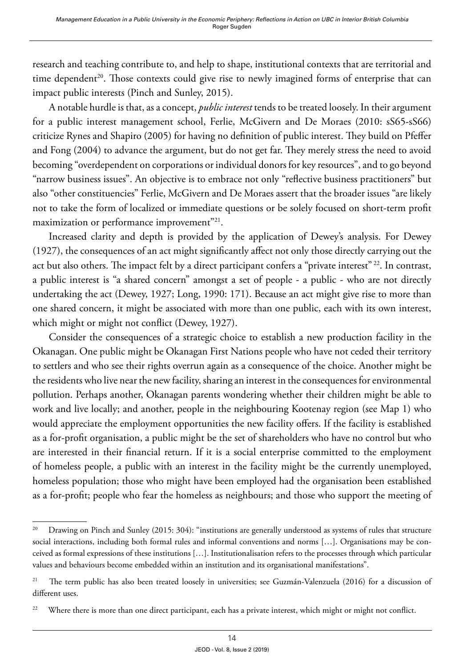research and teaching contribute to, and help to shape, institutional contexts that are territorial and time dependent<sup>20</sup>. Those contexts could give rise to newly imagined forms of enterprise that can impact public interests (Pinch and Sunley, 2015).

A notable hurdle is that, as a concept, *public interest* tends to be treated loosely. In their argument for a public interest management school, Ferlie, McGivern and De Moraes (2010: sS65-sS66) criticize Rynes and Shapiro (2005) for having no definition of public interest. They build on Pfeffer and Fong (2004) to advance the argument, but do not get far. They merely stress the need to avoid becoming "overdependent on corporations or individual donors for key resources", and to go beyond "narrow business issues". An objective is to embrace not only "reflective business practitioners" but also "other constituencies" Ferlie, McGivern and De Moraes assert that the broader issues "are likely not to take the form of localized or immediate questions or be solely focused on short-term profit maximization or performance improvement"<sup>21</sup>.

Increased clarity and depth is provided by the application of Dewey's analysis. For Dewey (1927), the consequences of an act might significantly affect not only those directly carrying out the act but also others. The impact felt by a direct participant confers a "private interest" <sup>22</sup>. In contrast, a public interest is "a shared concern" amongst a set of people - a public - who are not directly undertaking the act (Dewey, 1927; Long, 1990: 171). Because an act might give rise to more than one shared concern, it might be associated with more than one public, each with its own interest, which might or might not conflict (Dewey, 1927).

Consider the consequences of a strategic choice to establish a new production facility in the Okanagan. One public might be Okanagan First Nations people who have not ceded their territory to settlers and who see their rights overrun again as a consequence of the choice. Another might be the residents who live near the new facility, sharing an interest in the consequences for environmental pollution. Perhaps another, Okanagan parents wondering whether their children might be able to work and live locally; and another, people in the neighbouring Kootenay region (see Map 1) who would appreciate the employment opportunities the new facility offers. If the facility is established as a for-profit organisation, a public might be the set of shareholders who have no control but who are interested in their financial return. If it is a social enterprise committed to the employment of homeless people, a public with an interest in the facility might be the currently unemployed, homeless population; those who might have been employed had the organisation been established as a for-profit; people who fear the homeless as neighbours; and those who support the meeting of

<sup>&</sup>lt;sup>20</sup> Drawing on Pinch and Sunley (2015: 304): "institutions are generally understood as systems of rules that structure social interactions, including both formal rules and informal conventions and norms […]. Organisations may be conceived as formal expressions of these institutions […]. Institutionalisation refers to the processes through which particular values and behaviours become embedded within an institution and its organisational manifestations".

<sup>&</sup>lt;sup>21</sup> The term public has also been treated loosely in universities; see Guzmán-Valenzuela (2016) for a discussion of different uses.

<sup>&</sup>lt;sup>22</sup> Where there is more than one direct participant, each has a private interest, which might or might not conflict.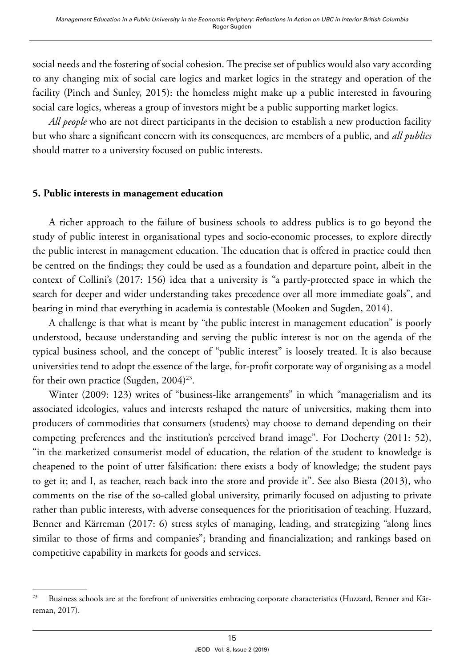social needs and the fostering of social cohesion. The precise set of publics would also vary according to any changing mix of social care logics and market logics in the strategy and operation of the facility (Pinch and Sunley, 2015): the homeless might make up a public interested in favouring social care logics, whereas a group of investors might be a public supporting market logics.

*All people* who are not direct participants in the decision to establish a new production facility but who share a significant concern with its consequences, are members of a public, and *all publics* should matter to a university focused on public interests.

## **5. Public interests in management education**

A richer approach to the failure of business schools to address publics is to go beyond the study of public interest in organisational types and socio-economic processes, to explore directly the public interest in management education. The education that is offered in practice could then be centred on the findings; they could be used as a foundation and departure point, albeit in the context of Collini's (2017: 156) idea that a university is "a partly-protected space in which the search for deeper and wider understanding takes precedence over all more immediate goals", and bearing in mind that everything in academia is contestable (Mooken and Sugden, 2014).

A challenge is that what is meant by "the public interest in management education" is poorly understood, because understanding and serving the public interest is not on the agenda of the typical business school, and the concept of "public interest" is loosely treated. It is also because universities tend to adopt the essence of the large, for-profit corporate way of organising as a model for their own practice (Sugden,  $2004)^{23}$ .

Winter (2009: 123) writes of "business-like arrangements" in which "managerialism and its associated ideologies, values and interests reshaped the nature of universities, making them into producers of commodities that consumers (students) may choose to demand depending on their competing preferences and the institution's perceived brand image". For Docherty (2011: 52), "in the marketized consumerist model of education, the relation of the student to knowledge is cheapened to the point of utter falsification: there exists a body of knowledge; the student pays to get it; and I, as teacher, reach back into the store and provide it". See also Biesta (2013), who comments on the rise of the so-called global university, primarily focused on adjusting to private rather than public interests, with adverse consequences for the prioritisation of teaching. Huzzard, Benner and Kärreman (2017: 6) stress styles of managing, leading, and strategizing "along lines similar to those of firms and companies"; branding and financialization; and rankings based on competitive capability in markets for goods and services.

<sup>&</sup>lt;sup>23</sup> Business schools are at the forefront of universities embracing corporate characteristics (Huzzard, Benner and Kärreman, 2017).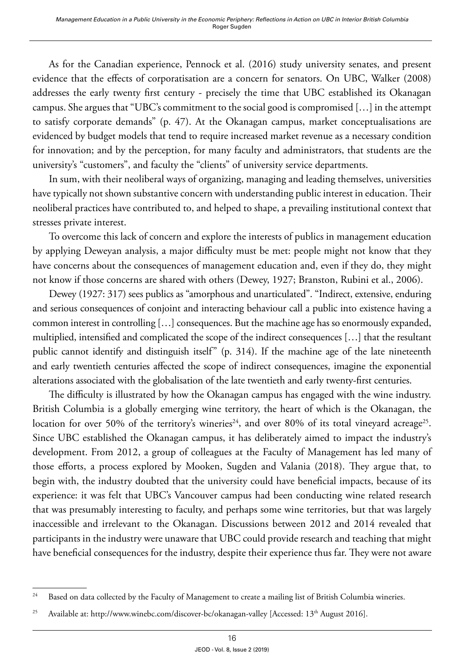As for the Canadian experience, Pennock et al. (2016) study university senates, and present evidence that the effects of corporatisation are a concern for senators. On UBC, Walker (2008) addresses the early twenty first century - precisely the time that UBC established its Okanagan campus. She argues that "UBC's commitment to the social good is compromised […] in the attempt to satisfy corporate demands" (p. 47). At the Okanagan campus, market conceptualisations are evidenced by budget models that tend to require increased market revenue as a necessary condition for innovation; and by the perception, for many faculty and administrators, that students are the university's "customers", and faculty the "clients" of university service departments.

In sum, with their neoliberal ways of organizing, managing and leading themselves, universities have typically not shown substantive concern with understanding public interest in education. Their neoliberal practices have contributed to, and helped to shape, a prevailing institutional context that stresses private interest.

To overcome this lack of concern and explore the interests of publics in management education by applying Deweyan analysis, a major difficulty must be met: people might not know that they have concerns about the consequences of management education and, even if they do, they might not know if those concerns are shared with others (Dewey, 1927; Branston, Rubini et al., 2006).

Dewey (1927: 317) sees publics as "amorphous and unarticulated". "Indirect, extensive, enduring and serious consequences of conjoint and interacting behaviour call a public into existence having a common interest in controlling […] consequences. But the machine age has so enormously expanded, multiplied, intensified and complicated the scope of the indirect consequences […] that the resultant public cannot identify and distinguish itself" (p. 314). If the machine age of the late nineteenth and early twentieth centuries affected the scope of indirect consequences, imagine the exponential alterations associated with the globalisation of the late twentieth and early twenty-first centuries.

The difficulty is illustrated by how the Okanagan campus has engaged with the wine industry. British Columbia is a globally emerging wine territory, the heart of which is the Okanagan, the location for over 50% of the territory's wineries<sup>24</sup>, and over 80% of its total vineyard acreage<sup>25</sup>. Since UBC established the Okanagan campus, it has deliberately aimed to impact the industry's development. From 2012, a group of colleagues at the Faculty of Management has led many of those efforts, a process explored by Mooken, Sugden and Valania (2018). They argue that, to begin with, the industry doubted that the university could have beneficial impacts, because of its experience: it was felt that UBC's Vancouver campus had been conducting wine related research that was presumably interesting to faculty, and perhaps some wine territories, but that was largely inaccessible and irrelevant to the Okanagan. Discussions between 2012 and 2014 revealed that participants in the industry were unaware that UBC could provide research and teaching that might have beneficial consequences for the industry, despite their experience thus far. They were not aware

<sup>&</sup>lt;sup>24</sup> Based on data collected by the Faculty of Management to create a mailing list of British Columbia wineries.

<sup>&</sup>lt;sup>25</sup> Available at: <http://www.winebc.com/discover-bc/okanagan-valley> [Accessed: 13<sup>th</sup> August 2016].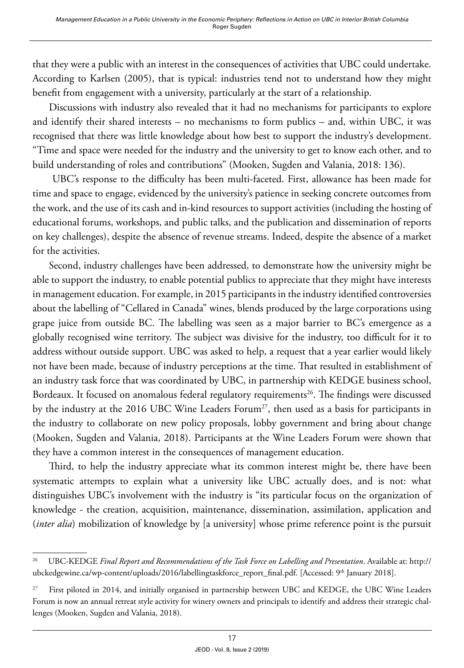that they were a public with an interest in the consequences of activities that UBC could undertake. According to Karlsen (2005), that is typical: industries tend not to understand how they might benefit from engagement with a university, particularly at the start of a relationship.

Discussions with industry also revealed that it had no mechanisms for participants to explore and identify their shared interests – no mechanisms to form publics – and, within UBC, it was recognised that there was little knowledge about how best to support the industry's development. "Time and space were needed for the industry and the university to get to know each other, and to build understanding of roles and contributions" (Mooken, Sugden and Valania, 2018: 136).

 UBC's response to the difficulty has been multi-faceted. First, allowance has been made for time and space to engage, evidenced by the university's patience in seeking concrete outcomes from the work, and the use of its cash and in-kind resources to support activities (including the hosting of educational forums, workshops, and public talks, and the publication and dissemination of reports on key challenges), despite the absence of revenue streams. Indeed, despite the absence of a market for the activities.

Second, industry challenges have been addressed, to demonstrate how the university might be able to support the industry, to enable potential publics to appreciate that they might have interests in management education. For example, in 2015 participants in the industry identified controversies about the labelling of "Cellared in Canada" wines, blends produced by the large corporations using grape juice from outside BC. The labelling was seen as a major barrier to BC's emergence as a globally recognised wine territory. The subject was divisive for the industry, too difficult for it to address without outside support. UBC was asked to help, a request that a year earlier would likely not have been made, because of industry perceptions at the time. That resulted in establishment of an industry task force that was coordinated by UBC, in partnership with KEDGE business school, Bordeaux. It focused on anomalous federal regulatory requirements<sup>26</sup>. The findings were discussed by the industry at the 2016 UBC Wine Leaders Forum<sup>27</sup>, then used as a basis for participants in the industry to collaborate on new policy proposals, lobby government and bring about change (Mooken, Sugden and Valania, 2018). Participants at the Wine Leaders Forum were shown that they have a common interest in the consequences of management education.

Third, to help the industry appreciate what its common interest might be, there have been systematic attempts to explain what a university like UBC actually does, and is not: what distinguishes UBC's involvement with the industry is "its particular focus on the organization of knowledge - the creation, acquisition, maintenance, dissemination, assimilation, application and (*inter alia*) mobilization of knowledge by [a university] whose prime reference point is the pursuit

<sup>&</sup>lt;sup>26</sup> UBC-KEDGE *Final Report and Recommendations of the Task Force on Labelling and Presentation*. Available at: http:// ubckedgewine.ca/wp-content/uploads/2016/labellingtaskforce\_report\_final.pdf. [Accessed: 9<sup>th</sup> January 2018].

<sup>&</sup>lt;sup>27</sup> First piloted in 2014, and initially organised in partnership between UBC and KEDGE, the UBC Wine Leaders Forum is now an annual retreat style activity for winery owners and principals to identify and address their strategic challenges (Mooken, Sugden and Valania, 2018).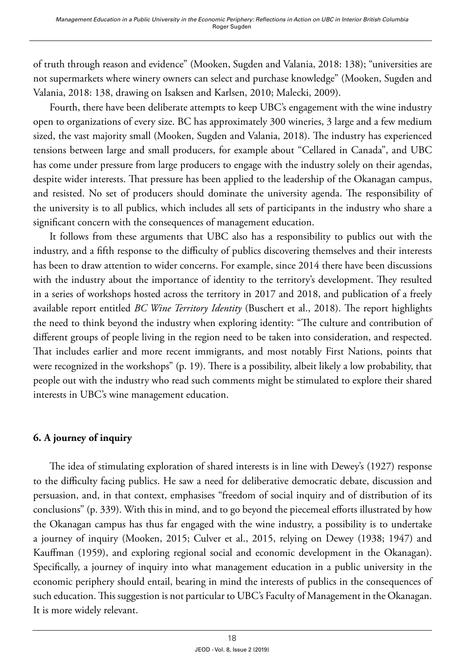of truth through reason and evidence" (Mooken, Sugden and Valania, 2018: 138); "universities are not supermarkets where winery owners can select and purchase knowledge" (Mooken, Sugden and Valania, 2018: 138, drawing on Isaksen and Karlsen, 2010; Malecki, 2009).

Fourth, there have been deliberate attempts to keep UBC's engagement with the wine industry open to organizations of every size. BC has approximately 300 wineries, 3 large and a few medium sized, the vast majority small (Mooken, Sugden and Valania, 2018). The industry has experienced tensions between large and small producers, for example about "Cellared in Canada", and UBC has come under pressure from large producers to engage with the industry solely on their agendas, despite wider interests. That pressure has been applied to the leadership of the Okanagan campus, and resisted. No set of producers should dominate the university agenda. The responsibility of the university is to all publics, which includes all sets of participants in the industry who share a significant concern with the consequences of management education.

It follows from these arguments that UBC also has a responsibility to publics out with the industry, and a fifth response to the difficulty of publics discovering themselves and their interests has been to draw attention to wider concerns. For example, since 2014 there have been discussions with the industry about the importance of identity to the territory's development. They resulted in a series of workshops hosted across the territory in 2017 and 2018, and publication of a freely available report entitled *BC Wine Territory Identity* (Buschert et al., 2018). The report highlights the need to think beyond the industry when exploring identity: "The culture and contribution of different groups of people living in the region need to be taken into consideration, and respected. That includes earlier and more recent immigrants, and most notably First Nations, points that were recognized in the workshops" (p. 19). There is a possibility, albeit likely a low probability, that people out with the industry who read such comments might be stimulated to explore their shared interests in UBC's wine management education.

## **6. A journey of inquiry**

The idea of stimulating exploration of shared interests is in line with Dewey's (1927) response to the difficulty facing publics. He saw a need for deliberative democratic debate, discussion and persuasion, and, in that context, emphasises "freedom of social inquiry and of distribution of its conclusions" (p. 339). With this in mind, and to go beyond the piecemeal efforts illustrated by how the Okanagan campus has thus far engaged with the wine industry, a possibility is to undertake a journey of inquiry (Mooken, 2015; Culver et al., 2015, relying on Dewey (1938; 1947) and Kauffman (1959), and exploring regional social and economic development in the Okanagan). Specifically, a journey of inquiry into what management education in a public university in the economic periphery should entail, bearing in mind the interests of publics in the consequences of such education. This suggestion is not particular to UBC's Faculty of Management in the Okanagan. It is more widely relevant.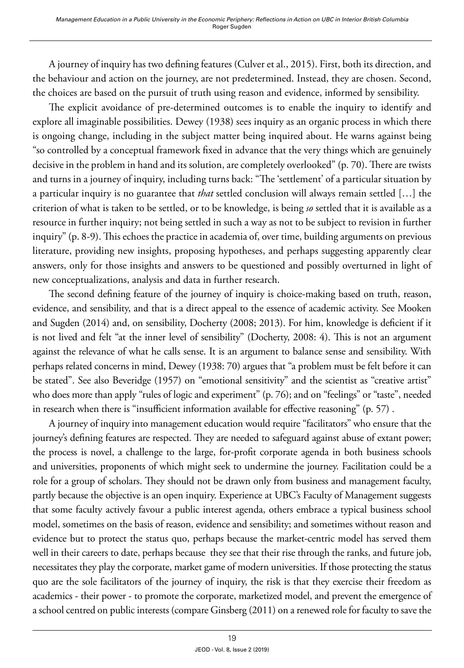A journey of inquiry has two defining features (Culver et al., 2015). First, both its direction, and the behaviour and action on the journey, are not predetermined. Instead, they are chosen. Second, the choices are based on the pursuit of truth using reason and evidence, informed by sensibility.

The explicit avoidance of pre-determined outcomes is to enable the inquiry to identify and explore all imaginable possibilities. Dewey (1938) sees inquiry as an organic process in which there is ongoing change, including in the subject matter being inquired about. He warns against being "so controlled by a conceptual framework fixed in advance that the very things which are genuinely decisive in the problem in hand and its solution, are completely overlooked" (p. 70). There are twists and turns in a journey of inquiry, including turns back: "The 'settlement' of a particular situation by a particular inquiry is no guarantee that *that* settled conclusion will always remain settled […] the criterion of what is taken to be settled, or to be knowledge, is being *so* settled that it is available as a resource in further inquiry; not being settled in such a way as not to be subject to revision in further inquiry" (p. 8-9). This echoes the practice in academia of, over time, building arguments on previous literature, providing new insights, proposing hypotheses, and perhaps suggesting apparently clear answers, only for those insights and answers to be questioned and possibly overturned in light of new conceptualizations, analysis and data in further research.

The second defining feature of the journey of inquiry is choice-making based on truth, reason, evidence, and sensibility, and that is a direct appeal to the essence of academic activity. See Mooken and Sugden (2014) and, on sensibility, Docherty (2008; 2013). For him, knowledge is deficient if it is not lived and felt "at the inner level of sensibility" (Docherty, 2008: 4). This is not an argument against the relevance of what he calls sense. It is an argument to balance sense and sensibility. With perhaps related concerns in mind, Dewey (1938: 70) argues that "a problem must be felt before it can be stated". See also Beveridge (1957) on "emotional sensitivity" and the scientist as "creative artist" who does more than apply "rules of logic and experiment" (p. 76); and on "feelings" or "taste", needed in research when there is "insufficient information available for effective reasoning" (p. 57) .

A journey of inquiry into management education would require "facilitators" who ensure that the journey's defining features are respected. They are needed to safeguard against abuse of extant power; the process is novel, a challenge to the large, for-profit corporate agenda in both business schools and universities, proponents of which might seek to undermine the journey. Facilitation could be a role for a group of scholars. They should not be drawn only from business and management faculty, partly because the objective is an open inquiry. Experience at UBC's Faculty of Management suggests that some faculty actively favour a public interest agenda, others embrace a typical business school model, sometimes on the basis of reason, evidence and sensibility; and sometimes without reason and evidence but to protect the status quo, perhaps because the market-centric model has served them well in their careers to date, perhaps because they see that their rise through the ranks, and future job, necessitates they play the corporate, market game of modern universities. If those protecting the status quo are the sole facilitators of the journey of inquiry, the risk is that they exercise their freedom as academics - their power - to promote the corporate, marketized model, and prevent the emergence of a school centred on public interests (compare Ginsberg (2011) on a renewed role for faculty to save the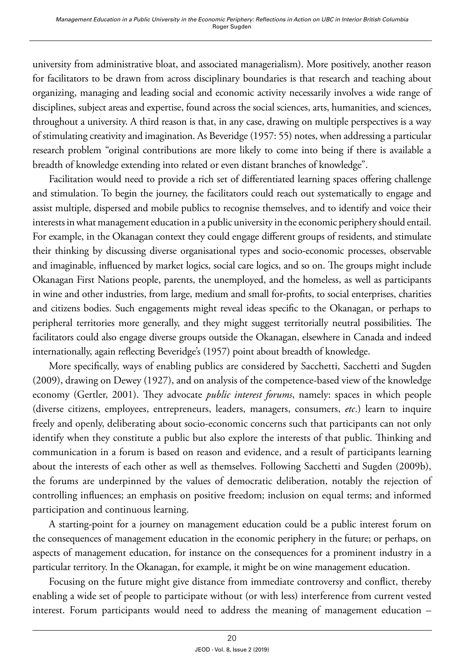university from administrative bloat, and associated managerialism). More positively, another reason for facilitators to be drawn from across disciplinary boundaries is that research and teaching about organizing, managing and leading social and economic activity necessarily involves a wide range of disciplines, subject areas and expertise, found across the social sciences, arts, humanities, and sciences, throughout a university. A third reason is that, in any case, drawing on multiple perspectives is a way of stimulating creativity and imagination. As Beveridge (1957: 55) notes, when addressing a particular research problem "original contributions are more likely to come into being if there is available a breadth of knowledge extending into related or even distant branches of knowledge".

Facilitation would need to provide a rich set of differentiated learning spaces offering challenge and stimulation. To begin the journey, the facilitators could reach out systematically to engage and assist multiple, dispersed and mobile publics to recognise themselves, and to identify and voice their interests in what management education in a public university in the economic periphery should entail. For example, in the Okanagan context they could engage different groups of residents, and stimulate their thinking by discussing diverse organisational types and socio-economic processes, observable and imaginable, influenced by market logics, social care logics, and so on. The groups might include Okanagan First Nations people, parents, the unemployed, and the homeless, as well as participants in wine and other industries, from large, medium and small for-profits, to social enterprises, charities and citizens bodies. Such engagements might reveal ideas specific to the Okanagan, or perhaps to peripheral territories more generally, and they might suggest territorially neutral possibilities. The facilitators could also engage diverse groups outside the Okanagan, elsewhere in Canada and indeed internationally, again reflecting Beveridge's (1957) point about breadth of knowledge.

More specifically, ways of enabling publics are considered by Sacchetti, Sacchetti and Sugden (2009), drawing on Dewey (1927), and on analysis of the competence-based view of the knowledge economy (Gertler, 2001). They advocate *public interest forums*, namely: spaces in which people (diverse citizens, employees, entrepreneurs, leaders, managers, consumers, *etc*.) learn to inquire freely and openly, deliberating about socio-economic concerns such that participants can not only identify when they constitute a public but also explore the interests of that public. Thinking and communication in a forum is based on reason and evidence, and a result of participants learning about the interests of each other as well as themselves. Following Sacchetti and Sugden (2009b), the forums are underpinned by the values of democratic deliberation, notably the rejection of controlling influences; an emphasis on positive freedom; inclusion on equal terms; and informed participation and continuous learning.

A starting-point for a journey on management education could be a public interest forum on the consequences of management education in the economic periphery in the future; or perhaps, on aspects of management education, for instance on the consequences for a prominent industry in a particular territory. In the Okanagan, for example, it might be on wine management education.

Focusing on the future might give distance from immediate controversy and conflict, thereby enabling a wide set of people to participate without (or with less) interference from current vested interest. Forum participants would need to address the meaning of management education –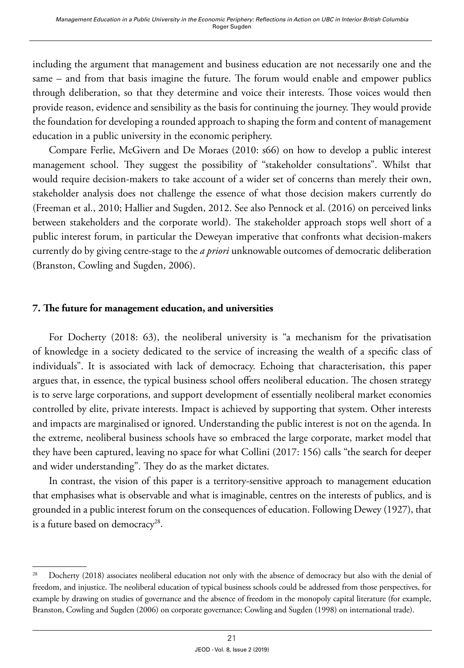including the argument that management and business education are not necessarily one and the same – and from that basis imagine the future. The forum would enable and empower publics through deliberation, so that they determine and voice their interests. Those voices would then provide reason, evidence and sensibility as the basis for continuing the journey. They would provide the foundation for developing a rounded approach to shaping the form and content of management education in a public university in the economic periphery.

Compare Ferlie, McGivern and De Moraes (2010: s66) on how to develop a public interest management school. They suggest the possibility of "stakeholder consultations". Whilst that would require decision-makers to take account of a wider set of concerns than merely their own, stakeholder analysis does not challenge the essence of what those decision makers currently do (Freeman et al., 2010; Hallier and Sugden, 2012. See also Pennock et al. (2016) on perceived links between stakeholders and the corporate world). The stakeholder approach stops well short of a public interest forum, in particular the Deweyan imperative that confronts what decision-makers currently do by giving centre-stage to the *a priori* unknowable outcomes of democratic deliberation (Branston, Cowling and Sugden, 2006).

## **7. The future for management education, and universities**

For Docherty (2018: 63), the neoliberal university is "a mechanism for the privatisation of knowledge in a society dedicated to the service of increasing the wealth of a specific class of individuals". It is associated with lack of democracy. Echoing that characterisation, this paper argues that, in essence, the typical business school offers neoliberal education. The chosen strategy is to serve large corporations, and support development of essentially neoliberal market economies controlled by elite, private interests. Impact is achieved by supporting that system. Other interests and impacts are marginalised or ignored. Understanding the public interest is not on the agenda. In the extreme, neoliberal business schools have so embraced the large corporate, market model that they have been captured, leaving no space for what Collini (2017: 156) calls "the search for deeper and wider understanding". They do as the market dictates.

In contrast, the vision of this paper is a territory-sensitive approach to management education that emphasises what is observable and what is imaginable, centres on the interests of publics, and is grounded in a public interest forum on the consequences of education. Following Dewey (1927), that is a future based on democracy<sup>28</sup>.

<sup>&</sup>lt;sup>28</sup> Docherty (2018) associates neoliberal education not only with the absence of democracy but also with the denial of freedom, and injustice. The neoliberal education of typical business schools could be addressed from those perspectives, for example by drawing on studies of governance and the absence of freedom in the monopoly capital literature (for example, Branston, Cowling and Sugden (2006) on corporate governance; Cowling and Sugden (1998) on international trade).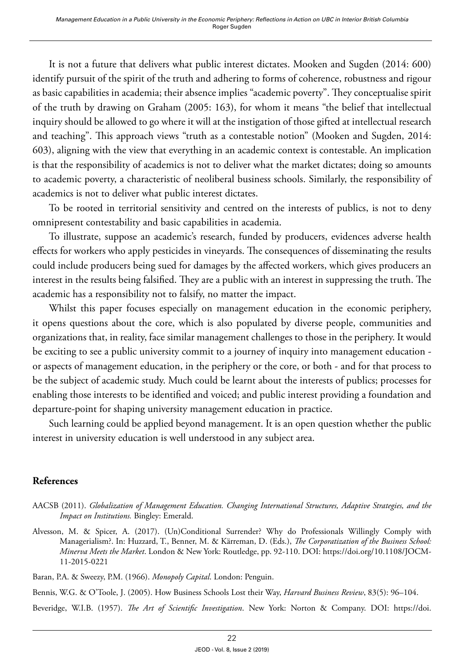It is not a future that delivers what public interest dictates. Mooken and Sugden (2014: 600) identify pursuit of the spirit of the truth and adhering to forms of coherence, robustness and rigour as basic capabilities in academia; their absence implies "academic poverty". They conceptualise spirit of the truth by drawing on Graham (2005: 163), for whom it means "the belief that intellectual inquiry should be allowed to go where it will at the instigation of those gifted at intellectual research and teaching". This approach views "truth as a contestable notion" (Mooken and Sugden, 2014: 603), aligning with the view that everything in an academic context is contestable. An implication is that the responsibility of academics is not to deliver what the market dictates; doing so amounts to academic poverty, a characteristic of neoliberal business schools. Similarly, the responsibility of academics is not to deliver what public interest dictates.

To be rooted in territorial sensitivity and centred on the interests of publics, is not to deny omnipresent contestability and basic capabilities in academia.

To illustrate, suppose an academic's research, funded by producers, evidences adverse health effects for workers who apply pesticides in vineyards. The consequences of disseminating the results could include producers being sued for damages by the affected workers, which gives producers an interest in the results being falsified. They are a public with an interest in suppressing the truth. The academic has a responsibility not to falsify, no matter the impact.

Whilst this paper focuses especially on management education in the economic periphery, it opens questions about the core, which is also populated by diverse people, communities and organizations that, in reality, face similar management challenges to those in the periphery. It would be exciting to see a public university commit to a journey of inquiry into management education or aspects of management education, in the periphery or the core, or both - and for that process to be the subject of academic study. Much could be learnt about the interests of publics; processes for enabling those interests to be identified and voiced; and public interest providing a foundation and departure-point for shaping university management education in practice.

Such learning could be applied beyond management. It is an open question whether the public interest in university education is well understood in any subject area.

## **References**

- AACSB (2011). *Globalization of Management Education. Changing International Structures, Adaptive Strategies, and the Impact on Institutions.* Bingley: Emerald.
- Alvesson, M. & Spicer, A. (2017). (Un)Conditional Surrender? Why do Professionals Willingly Comply with Managerialism?. In: Huzzard, T., Benner, M. & Kärreman, D. (Eds.), *The Corporatization of the Business School: Minerva Meets the Market*. London & New York: Routledge, pp. 92-110. DOI: [https://doi.org/10.1108/JOCM-](https://doi.org/10.1108/JOCM-11-2015-0221)[11-2015-0221](https://doi.org/10.1108/JOCM-11-2015-0221)

Baran, P.A. & Sweezy, P.M. (1966). *Monopoly Capital*. London: Penguin.

Bennis, W.G. & O'Toole, J. (2005). How Business Schools Lost their Way, *Harvard Business Review*, 83(5): 96–104.

Beveridge, W.I.B. (1957). *The Art of Scientific Investigation*. New York: Norton & Company. DOI: [https://doi.](https://doi.org/10.5962/bhl.title.5888)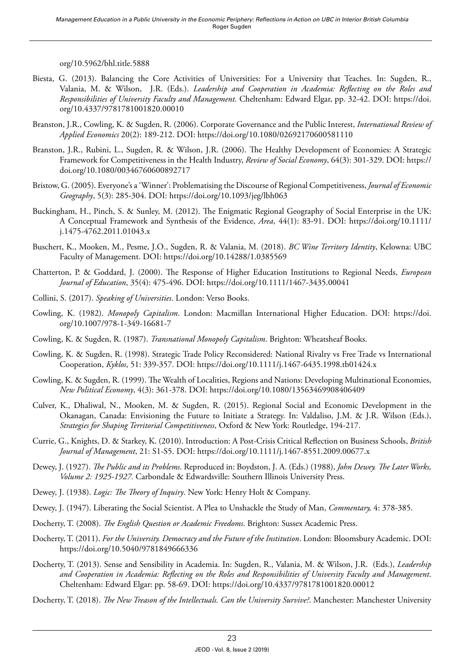[org/10.5962/bhl.title.5888](https://doi.org/10.5962/bhl.title.5888)

- Biesta, G. (2013). Balancing the Core Activities of Universities: For a University that Teaches. In: Sugden, R., Valania, M. & Wilson, J.R. (Eds.). *Leadership and Cooperation in Academia: Reflecting on the Roles and Responsibilities of University Faculty and Management.* Cheltenham: Edward Elgar, pp. 32-42. DOI: [https://doi.](https://doi.org/10.4337/9781781001820.00010) [org/10.4337/9781781001820.00010](https://doi.org/10.4337/9781781001820.00010)
- Branston, J.R., Cowling, K. & Sugden, R. (2006). Corporate Governance and the Public Interest, *International Review of Applied Economics* 20(2): 189-212. DOI:<https://doi.org/10.1080/02692170600581110>
- Branston, J.R., Rubini, L., Sugden, R. & Wilson, J.R. (2006). The Healthy Development of Economies: A Strategic Framework for Competitiveness in the Health Industry, *Review of Social Economy*, 64(3): 301-329. DOI: [https://](https://doi.org/10.1080/00346760600892717) [doi.org/10.1080/00346760600892717](https://doi.org/10.1080/00346760600892717)
- Bristow, G. (2005). Everyone's a 'Winner': Problematising the Discourse of Regional Competitiveness, *Journal of Economic Geography*, 5(3): 285-304. DOI: <https://doi.org/10.1093/jeg/lbh063>
- Buckingham, H., Pinch, S. & Sunley, M. (2012). The Enigmatic Regional Geography of Social Enterprise in the UK: A Conceptual Framework and Synthesis of the Evidence, *Area*, 44(1): 83-91. DOI: [https://doi.org/10.1111/](https://doi.org/10.1111/j.1475-4762.2011.01043.x) [j.1475-4762.2011.01043.x](https://doi.org/10.1111/j.1475-4762.2011.01043.x)
- Buschert, K., Mooken, M., Pesme, J.O., Sugden, R. & Valania, M. (2018). *BC Wine Territory Identity*, Kelowna: UBC Faculty of Management. DOI:<https://doi.org/10.14288/1.0385569>
- Chatterton, P. & Goddard, J. (2000). The Response of Higher Education Institutions to Regional Needs, *European Journal of Education*, 35(4): 475-496. DOI: <https://doi.org/10.1111/1467-3435.00041>
- Collini, S. (2017). *Speaking of Universities*. London: Verso Books.
- Cowling, K. (1982). *Monopoly Capitalism*. London: Macmillan International Higher Education. DOI: [https://doi.](https://doi.org/10.1007/978-1-349-16681-7) [org/10.1007/978-1-349-16681-7](https://doi.org/10.1007/978-1-349-16681-7)
- Cowling, K. & Sugden, R. (1987). *Transnational Monopoly Capitalism*. Brighton: Wheatsheaf Books.
- Cowling, K. & Sugden, R. (1998). Strategic Trade Policy Reconsidered: National Rivalry vs Free Trade vs International Cooperation, *Kyklos*, 51: 339-357. DOI: <https://doi.org/10.1111/j.1467-6435.1998.tb01424.x>
- Cowling, K. & Sugden, R. (1999). The Wealth of Localities, Regions and Nations: Developing Multinational Economies, *New Political Economy*, 4(3): 361-378. DOI:<https://doi.org/10.1080/13563469908406409>
- Culver, K., Dhaliwal, N., Mooken, M. & Sugden, R. (2015). Regional Social and Economic Development in the Okanagan, Canada: Envisioning the Future to Initiate a Strategy. In: Valdaliso, J.M. & J.R. Wilson (Eds.), *Strategies for Shaping Territorial Competitiveness*, Oxford & New York: Routledge, 194-217.
- Currie, G., Knights, D. & Starkey, K. (2010). Introduction: A Post-Crisis Critical Reflection on Business Schools, *British Journal of Management*, 21: S1-S5. DOI:<https://doi.org/10.1111/j.1467-8551.2009.00677.x>
- Dewey, J. (1927). *The Public and its Problems*. Reproduced in: Boydston, J. A. (Eds.) (1988), *John Dewey. The Later Works, Volume 2: 1925-1927.* Carbondale & Edwardsville: Southern Illinois University Press.
- Dewey, J. (1938). *Logic: The Theory of Inquiry*. New York: Henry Holt & Company.
- Dewey, J. (1947). Liberating the Social Scientist. A Plea to Unshackle the Study of Man, *Commentary,* 4: 378-385.
- Docherty, T. (2008). *The English Question or Academic Freedoms*. Brighton: Sussex Academic Press.
- Docherty, T. (2011). *For the University. Democracy and the Future of the Institution*. London: Bloomsbury Academic. DOI: <https://doi.org/10.5040/9781849666336>
- Docherty, T. (2013). Sense and Sensibility in Academia. In: Sugden, R., Valania, M. & Wilson, J.R. (Eds.), *Leadership and Cooperation in Academia: Reflecting on the Roles and Responsibilities of University Faculty and Management*. Cheltenham: Edward Elgar: pp. 58-69. DOI:<https://doi.org/10.4337/9781781001820.00012>
- Docherty, T. (2018). *The New Treason of the Intellectuals. Can the University Survive?*. Manchester: Manchester University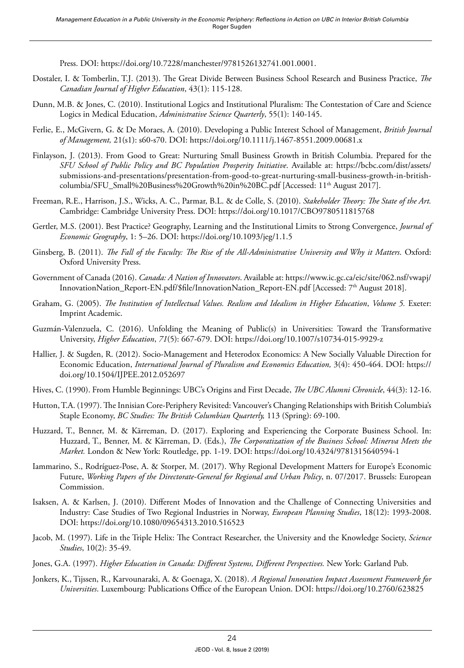Press. DOI: <https://doi.org/10.7228/manchester/9781526132741.001.0001>.

- Dostaler, I. & Tomberlin, T.J. (2013). The Great Divide Between Business School Research and Business Practice, *The Canadian Journal of Higher Education*, 43(1): 115-128.
- Dunn, M.B. & Jones, C. (2010). Institutional Logics and Institutional Pluralism: The Contestation of Care and Science Logics in Medical Education, *Administrative Science Quarterly*, 55(1): 140-145.
- Ferlie, E., McGivern, G. & De Moraes, A. (2010). Developing a Public Interest School of Management, *British Journal of Management,* 21(s1): s60-s70. DOI:<https://doi.org/10.1111/j.1467-8551.2009.00681.x>
- Finlayson, J. (2013). From Good to Great: Nurturing Small Business Growth in British Columbia. Prepared for the *SFU School of Public Policy and BC Population Prosperity Initiative*. Available at: [https://bcbc.com/dist/assets/](https://bcbc.com/dist/assets/submissions-and-presentations/presentation-from-good-to-great-nurturing-small-business-growth-in-british-columbia/SFU_Small%20Business%20Growth%20in%20BC.pdf) [submissions-and-presentations/presentation-from-good-to-great-nurturing-small-business-growth-in-british](https://bcbc.com/dist/assets/submissions-and-presentations/presentation-from-good-to-great-nurturing-small-business-growth-in-british-columbia/SFU_Small%20Business%20Growth%20in%20BC.pdf)[columbia/SFU\\_Small%20Business%20Growth%20in%20BC.pdf](https://bcbc.com/dist/assets/submissions-and-presentations/presentation-from-good-to-great-nurturing-small-business-growth-in-british-columbia/SFU_Small%20Business%20Growth%20in%20BC.pdf) [Accessed: 11th August 2017].
- Freeman, R.E., Harrison, J.S., Wicks, A. C., Parmar, B.L. & de Colle, S. (2010). *Stakeholder Theory: The State of the Art.* Cambridge: Cambridge University Press. DOI:<https://doi.org/10.1017/CBO9780511815768>
- Gertler, M.S. (2001). Best Practice? Geography, Learning and the Institutional Limits to Strong Convergence, *Journal of Economic Geography*, 1: 5–26. DOI: <https://doi.org/10.1093/jeg/1.1.5>
- Ginsberg, B. (2011). *The Fall of the Faculty: The Rise of the All-Administrative University and Why it Matters*. Oxford: Oxford University Press.
- Government of Canada (2016). *Canada: A Nation of Innovators*. Available at: [https://www.ic.gc.ca/eic/site/062.nsf/vwapj/](https://www.ic.gc.ca/eic/site/062.nsf/vwapj/InnovationNation_Report-EN.pdf/$file/InnovationNation_Report-EN.pdf) [InnovationNation\\_Report-EN.pdf/\\$file/InnovationNation\\_Report-EN.pdf](https://www.ic.gc.ca/eic/site/062.nsf/vwapj/InnovationNation_Report-EN.pdf/$file/InnovationNation_Report-EN.pdf) [Accessed: 7<sup>th</sup> August 2018].
- Graham, G. (2005). *The Institution of Intellectual Values. Realism and Idealism in Higher Education*, *Volume 5.* Exeter: Imprint Academic.
- Guzmán-Valenzuela, C. (2016). Unfolding the Meaning of Public(s) in Universities: Toward the Transformative University, *Higher Education*, *71*(5): 667-679. DOI: <https://doi.org/10.1007/s10734-015-9929-z>
- Hallier, J. & Sugden, R. (2012). Socio-Management and Heterodox Economics: A New Socially Valuable Direction for Economic Education, *International Journal of Pluralism and Economics Education,* 3(4): 450-464. DOI: [https://](https://doi.org/10.1504/IJPEE.2012.052697) [doi.org/10.1504/IJPEE.2012.052697](https://doi.org/10.1504/IJPEE.2012.052697)
- Hives, C. (1990). From Humble Beginnings: UBC's Origins and First Decade, *The UBC Alumni Chronicle*, 44(3): 12-16.
- Hutton, T.A. (1997). The Innisian Core-Periphery Revisited: Vancouver's Changing Relationships with British Columbia's Staple Economy, *BC Studies: The British Columbian Quarterly,* 113 (Spring): 69-100.
- Huzzard, T., Benner, M. & Kärreman, D. (2017). Exploring and Experiencing the Corporate Business School. In: Huzzard, T., Benner, M. & Kärreman, D. (Eds.), *The Corporatization of the Business School: Minerva Meets the Market.* London & New York: Routledge, pp. 1-19. DOI: <https://doi.org/10.4324/9781315640594-1>
- Iammarino, S., Rodríguez-Pose, A. & Storper, M. (2017). Why Regional Development Matters for Europe's Economic Future, *Working Papers of the Directorate-General for Regional and Urban Policy*, n. 07/2017. Brussels: European Commission.
- Isaksen, A. & Karlsen, J. (2010). Different Modes of Innovation and the Challenge of Connecting Universities and Industry: Case Studies of Two Regional Industries in Norway, *European Planning Studies*, 18(12): 1993-2008. DOI:<https://doi.org/10.1080/09654313.2010.516523>
- Jacob, M. (1997). Life in the Triple Helix: The Contract Researcher, the University and the Knowledge Society, *Science Studies*, 10(2): 35-49.
- Jones, G.A. (1997). *Higher Education in Canada: Different Systems, Different Perspectives.* New York: Garland Pub.
- Jonkers, K., Tijssen, R., Karvounaraki, A. & Goenaga, X. (2018). *A Regional Innovation Impact Assessment Framework for Universities*. Luxembourg: Publications Office of the European Union. DOI:<https://doi.org/10.2760/623825>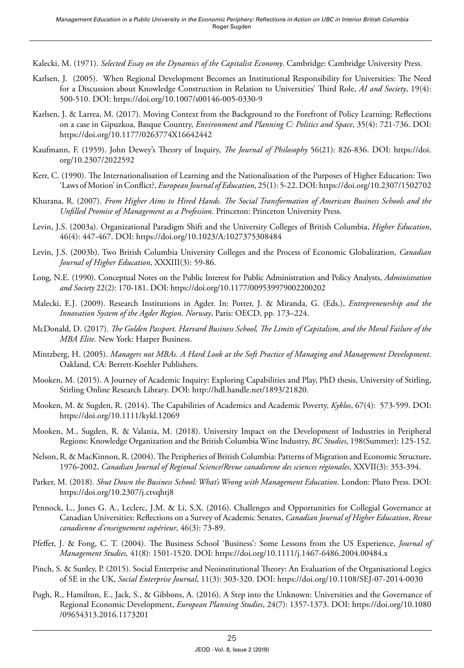Kalecki, M. (1971). *Selected Essay on the Dynamics of the Capitalist Economy*. Cambridge: Cambridge University Press.

- Karlsen, J. (2005). When Regional Development Becomes an Institutional Responsibility for Universities: The Need for a Discussion about Knowledge Construction in Relation to Universities' Third Role, *AI and Society*, 19(4): 500-510. DOI: https://doi.org/10.1007/s00146-005-0330-9
- Karlsen, J. & Larrea, M. (2017). Moving Context from the Background to the Forefront of Policy Learning: Reflections on a case in Gipuzkoa, Basque Country, *Environment and Planning C: Politics and Space*, 35(4): 721-736. DOI: <https://doi.org/10.1177/0263774X16642442>
- Kaufmann, F. (1959). John Dewey's Theory of Inquiry, *The Journal of Philosophy* 56(21): 826-836. DOI: [https://doi.](https://doi.org/10.2307/2022592) [org/10.2307/2022592](https://doi.org/10.2307/2022592)
- Kerr, C. (1990). The Internationalisation of Learning and the Nationalisation of the Purposes of Higher Education: Two 'Laws of Motion' in Conflict?, *European Journal of Education*, 25(1): 5-22. DOI:<https://doi.org/10.2307/1502702>
- Khurana, R. (2007). *From Higher Aims to Hired Hands. The Social Transformation of American Business Schools and the Unfilled Promise of Management as a Profession*. Princeton: Princeton University Press.
- Levin, J.S. (2003a). Organizational Paradigm Shift and the University Colleges of British Columbia, *Higher Education*, 46(4): 447-467. DOI:<https://doi.org/10.1023/A:1027375308484>
- Levin, J.S. (2003b). Two British Columbia University Colleges and the Process of Economic Globalization, *Canadian Journal of Higher Education*, XXXIII(3): 59-86.
- Long, N.E. (1990). Conceptual Notes on the Public Interest for Public Administration and Policy Analysts, *Administration and Society* 22(2): 170-181. DOI:<https://doi.org/10.1177/009539979002200202>
- Malecki, E.J. (2009). Research Institutions in Agder. In: Potter, J. & Miranda, G. (Eds.), *Entrepreneurship and the Innovation System of the Agder Region*. *Norway*, Paris: OECD, pp. 173–224.
- McDonald, D. (2017). *The Golden Passport. Harvard Business School, The Limits of Capitalism, and the Moral Failure of the MBA Elite.* New York: Harper Business.
- Mintzberg, H. (2005). *Managers not MBAs. A Hard Look at the Soft Practice of Managing and Management Development*. Oakland, CA: Berrett-Koehler Publishers.
- Mooken, M. (2015). A Journey of Academic Inquiry: Exploring Capabilities and Play, PhD thesis, University of Stirling, Stirling Online Research Library. DOI: http://hdl.handle.net/1893/21820.
- Mooken, M. & Sugden, R. (2014). The Capabilities of Academics and Academic Poverty, *Kyklos*, 67(4): 573-599. DOI: <https://doi.org/10.1111/kykl.12069>
- Mooken, M., Sugden, R. & Valania, M. (2018). University Impact on the Development of Industries in Peripheral Regions: Knowledge Organization and the British Columbia Wine Industry, *BC Studies*, 198(Summer): 125-152.
- Nelson, R. & MacKinnon, R. (2004). The Peripheries of British Columbia: Patterns of Migration and Economic Structure, 1976-2002, *Canadian Journal of Regional Science/Revue canadienne des sciences régionales*, XXVII(3): 353-394.
- Parker, M. (2018). *Shut Down the Business School: What's Wrong with Management Education*. London: Pluto Press. DOI: <https://doi.org/10.2307/j.ctvqhtj8>
- Pennock, L., Jones G. A., Leclerc, J.M. & Li, S.X. (2016). Challenges and Opportunities for Collegial Governance at Canadian Universities: Reflections on a Survey of Academic Senates, *Canadian Journal of Higher Education*, *Revue canadienne d'enseignement supérieur*, 46(3): 73-89.
- Pfeffer, J. & Fong, C. T. (2004). The Business School 'Business': Some Lessons from the US Experience, *Journal of Management Studies,* 41(8): 1501-1520. DOI: <https://doi.org/10.1111/j.1467-6486.2004.00484.x>
- Pinch, S. & Sunley, P. (2015). Social Enterprise and Neoinstitutional Theory: An Evaluation of the Organisational Logics of SE in the UK, *Social Enterprise Journal*, 11(3): 303-320. DOI: <https://doi.org/10.1108/SEJ-07-2014-0030>
- Pugh, R., Hamilton, E., Jack, S., & Gibbons, A. (2016). A Step into the Unknown: Universities and the Governance of Regional Economic Development, *European Planning Studies*, 24(7): 1357-1373. DOI: [https://doi.org/10.1080](https://doi.org/10.1080/09654313.2016.1173201) [/09654313.2016.1173201](https://doi.org/10.1080/09654313.2016.1173201)